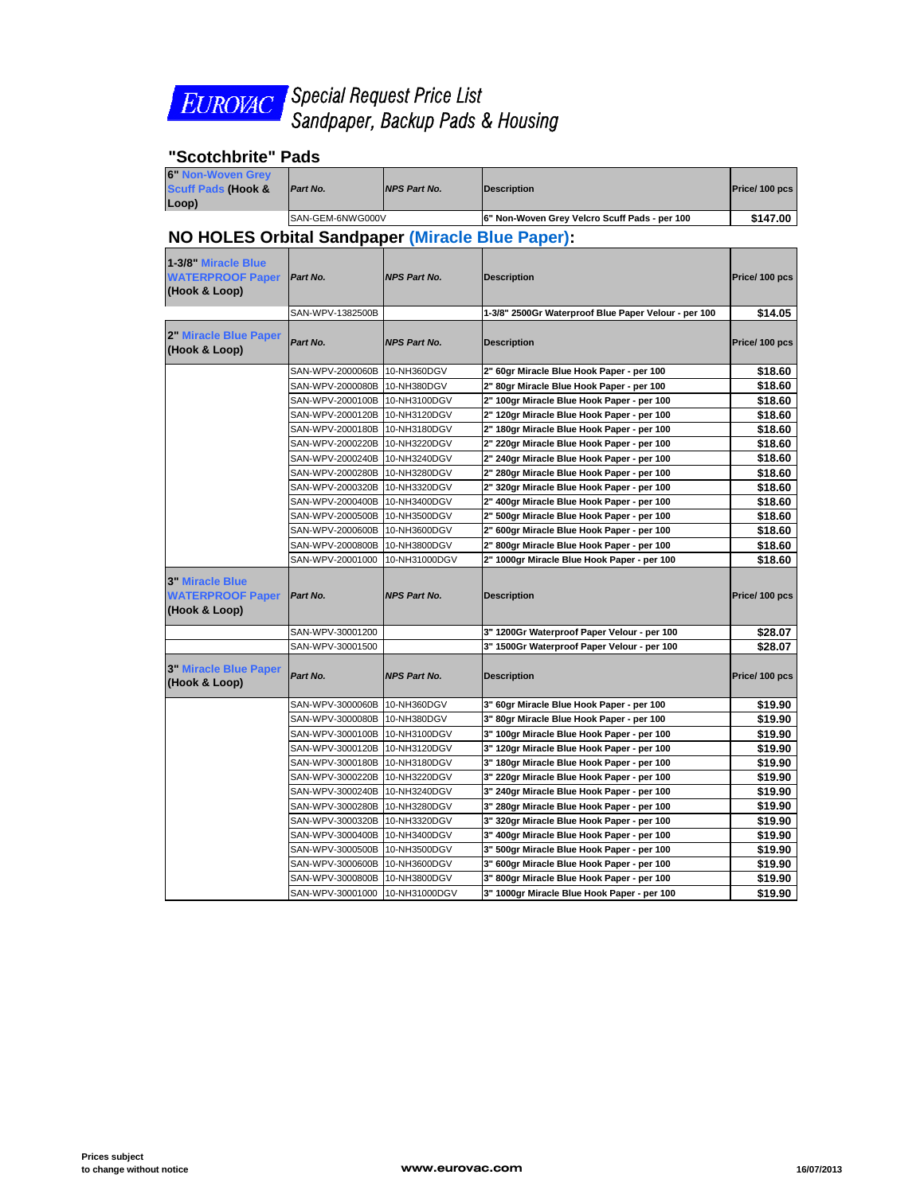

*Special Request Price List Sandpaper, Backup Pads & Housing* 

## **"Scotchbrite" Pads**

| <b>6" Non-Woven Grey</b><br><b>Scuff Pads (Hook &amp;</b><br>Loop) | Part No.                      | <b>NPS Part No.</b> | <b>Description</b>                                   | Price/100 pcs |  |
|--------------------------------------------------------------------|-------------------------------|---------------------|------------------------------------------------------|---------------|--|
|                                                                    | SAN-GEM-6NWG000V              |                     | 6" Non-Woven Grey Velcro Scuff Pads - per 100        | \$147.00      |  |
| NO HOLES Orbital Sandpaper (Miracle Blue Paper):                   |                               |                     |                                                      |               |  |
| 1-3/8" Miracle Blue<br><b>WATERPROOF Paper</b><br>(Hook & Loop)    | Part No.                      | <b>NPS Part No.</b> | <b>Description</b>                                   | Price/100 pcs |  |
|                                                                    | SAN-WPV-1382500B              |                     | 1-3/8" 2500Gr Waterproof Blue Paper Velour - per 100 | \$14.05       |  |
| 2" Miracle Blue Paper<br>(Hook & Loop)                             | Part No.                      | <b>NPS Part No.</b> | <b>Description</b>                                   | Price/100 pcs |  |
|                                                                    | SAN-WPV-2000060B              | 10-NH360DGV         | 2" 60gr Miracle Blue Hook Paper - per 100            | \$18.60       |  |
|                                                                    | SAN-WPV-2000080B              | 10-NH380DGV         | 2" 80gr Miracle Blue Hook Paper - per 100            | \$18.60       |  |
|                                                                    | SAN-WPV-2000100B 10-NH3100DGV |                     | 2" 100gr Miracle Blue Hook Paper - per 100           | \$18.60       |  |
|                                                                    | SAN-WPV-2000120B              | 10-NH3120DGV        | 2" 120gr Miracle Blue Hook Paper - per 100           | \$18.60       |  |
|                                                                    | SAN-WPV-2000180B 10-NH3180DGV |                     | 2" 180gr Miracle Blue Hook Paper - per 100           | \$18.60       |  |
|                                                                    | SAN-WPV-2000220B 10-NH3220DGV |                     | 2" 220gr Miracle Blue Hook Paper - per 100           | \$18.60       |  |
|                                                                    | SAN-WPV-2000240B 10-NH3240DGV |                     | 2" 240gr Miracle Blue Hook Paper - per 100           | \$18.60       |  |
|                                                                    | SAN-WPV-2000280B              | 10-NH3280DGV        | 2" 280gr Miracle Blue Hook Paper - per 100           | \$18.60       |  |
|                                                                    | SAN-WPV-2000320B 10-NH3320DGV |                     | 2" 320gr Miracle Blue Hook Paper - per 100           | \$18.60       |  |
|                                                                    | SAN-WPV-2000400B              | 10-NH3400DGV        | 2" 400gr Miracle Blue Hook Paper - per 100           | \$18.60       |  |
|                                                                    | SAN-WPV-2000500B 10-NH3500DGV |                     | 2" 500gr Miracle Blue Hook Paper - per 100           | \$18.60       |  |
|                                                                    | SAN-WPV-2000600B              | 10-NH3600DGV        | 2" 600gr Miracle Blue Hook Paper - per 100           | \$18.60       |  |
|                                                                    | SAN-WPV-2000800B              | 10-NH3800DGV        | 2" 800gr Miracle Blue Hook Paper - per 100           | \$18.60       |  |
|                                                                    | SAN-WPV-20001000              | 10-NH31000DGV       | 2" 1000gr Miracle Blue Hook Paper - per 100          | \$18.60       |  |
| <b>3" Miracle Blue</b><br><b>WATERPROOF Paper</b><br>(Hook & Loop) | Part No.                      | <b>NPS Part No.</b> | <b>Description</b>                                   | Price/100 pcs |  |
|                                                                    | SAN-WPV-30001200              |                     | 3" 1200Gr Waterproof Paper Velour - per 100          | \$28.07       |  |
|                                                                    | SAN-WPV-30001500              |                     | 3" 1500Gr Waterproof Paper Velour - per 100          | \$28.07       |  |
| <b>3" Miracle Blue Paper</b><br>(Hook & Loop)                      | Part No.                      | <b>NPS Part No.</b> | <b>Description</b>                                   | Price/100 pcs |  |
|                                                                    | SAN-WPV-3000060B 10-NH360DGV  |                     | 3" 60gr Miracle Blue Hook Paper - per 100            | \$19.90       |  |
|                                                                    | SAN-WPV-3000080B 10-NH380DGV  |                     | 3" 80gr Miracle Blue Hook Paper - per 100            | \$19.90       |  |
|                                                                    | SAN-WPV-3000100B 10-NH3100DGV |                     | 3" 100gr Miracle Blue Hook Paper - per 100           | \$19.90       |  |
|                                                                    | SAN-WPV-3000120B 10-NH3120DGV |                     | 3" 120gr Miracle Blue Hook Paper - per 100           | \$19.90       |  |
|                                                                    | SAN-WPV-3000180B 10-NH3180DGV |                     | 3" 180gr Miracle Blue Hook Paper - per 100           | \$19.90       |  |
|                                                                    | SAN-WPV-3000220B              | 10-NH3220DGV        | 3" 220gr Miracle Blue Hook Paper - per 100           | \$19.90       |  |
|                                                                    | SAN-WPV-3000240B 10-NH3240DGV |                     | 3" 240gr Miracle Blue Hook Paper - per 100           | \$19.90       |  |
|                                                                    | SAN-WPV-3000280B 10-NH3280DGV |                     | 3" 280gr Miracle Blue Hook Paper - per 100           | \$19.90       |  |
|                                                                    | SAN-WPV-3000320B 10-NH3320DGV |                     | 3" 320gr Miracle Blue Hook Paper - per 100           | \$19.90       |  |
|                                                                    | SAN-WPV-3000400B 10-NH3400DGV |                     | 3" 400gr Miracle Blue Hook Paper - per 100           | \$19.90       |  |
|                                                                    | SAN-WPV-3000500B 10-NH3500DGV |                     | 3" 500gr Miracle Blue Hook Paper - per 100           | \$19.90       |  |
|                                                                    | SAN-WPV-3000600B              | 10-NH3600DGV        | 3" 600gr Miracle Blue Hook Paper - per 100           | \$19.90       |  |
|                                                                    | SAN-WPV-3000800B 10-NH3800DGV |                     | 3" 800gr Miracle Blue Hook Paper - per 100           | \$19.90       |  |
|                                                                    | SAN-WPV-30001000              | 10-NH31000DGV       | 3" 1000gr Miracle Blue Hook Paper - per 100          | \$19.90       |  |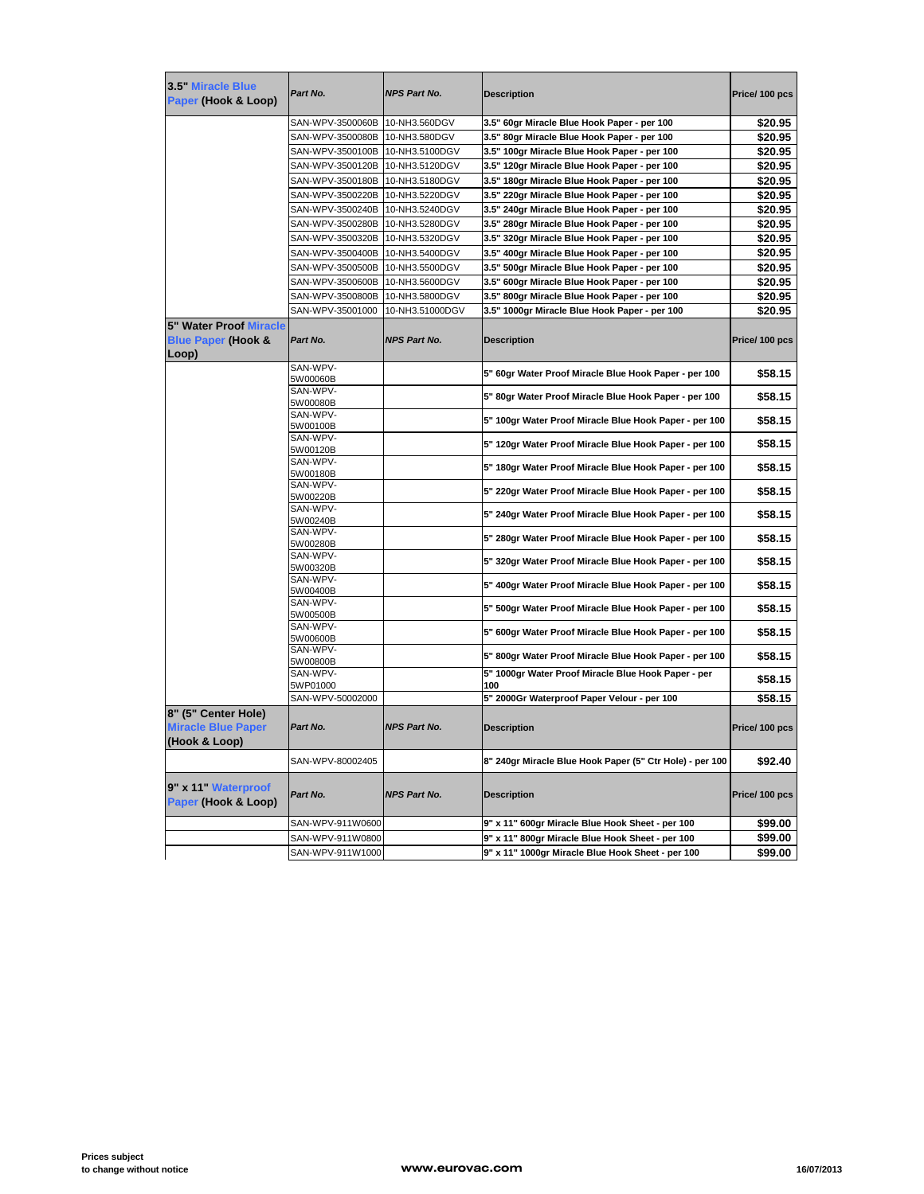| 3.5" Miracle Blue<br>Paper (Hook & Loop)                                | Part No.                        | <b>NPS Part No.</b> | <b>Description</b>                                         | Price/100 pcs |
|-------------------------------------------------------------------------|---------------------------------|---------------------|------------------------------------------------------------|---------------|
|                                                                         | SAN-WPV-3500060B 10-NH3.560DGV  |                     | 3.5" 60gr Miracle Blue Hook Paper - per 100                | \$20.95       |
|                                                                         | SAN-WPV-3500080B                | 10-NH3.580DGV       | 3.5" 80gr Miracle Blue Hook Paper - per 100                | \$20.95       |
|                                                                         | SAN-WPV-3500100B 10-NH3.5100DGV |                     | 3.5" 100gr Miracle Blue Hook Paper - per 100               | \$20.95       |
|                                                                         | SAN-WPV-3500120B                | 10-NH3.5120DGV      | 3.5" 120gr Miracle Blue Hook Paper - per 100               | \$20.95       |
|                                                                         | SAN-WPV-3500180B                | 10-NH3.5180DGV      | 3.5" 180gr Miracle Blue Hook Paper - per 100               | \$20.95       |
|                                                                         | SAN-WPV-3500220B                | 10-NH3.5220DGV      | 3.5" 220gr Miracle Blue Hook Paper - per 100               | \$20.95       |
|                                                                         | SAN-WPV-3500240B                | 10-NH3.5240DGV      | 3.5" 240gr Miracle Blue Hook Paper - per 100               | \$20.95       |
|                                                                         | SAN-WPV-3500280B                | 10-NH3.5280DGV      | 3.5" 280gr Miracle Blue Hook Paper - per 100               | \$20.95       |
|                                                                         | SAN-WPV-3500320B                | 10-NH3.5320DGV      | 3.5" 320gr Miracle Blue Hook Paper - per 100               | \$20.95       |
|                                                                         | SAN-WPV-3500400B                | 10-NH3.5400DGV      | 3.5" 400gr Miracle Blue Hook Paper - per 100               | \$20.95       |
|                                                                         | SAN-WPV-3500500B                | 10-NH3.5500DGV      | 3.5" 500gr Miracle Blue Hook Paper - per 100               | \$20.95       |
|                                                                         | SAN-WPV-3500600B                | 10-NH3.5600DGV      | 3.5" 600gr Miracle Blue Hook Paper - per 100               | \$20.95       |
|                                                                         | SAN-WPV-3500800B                | 10-NH3.5800DGV      | 3.5" 800gr Miracle Blue Hook Paper - per 100               | \$20.95       |
|                                                                         | SAN-WPV-35001000                | 10-NH3.51000DGV     | 3.5" 1000gr Miracle Blue Hook Paper - per 100              | \$20.95       |
| <b>5" Water Proof Miracle</b><br><b>Blue Paper (Hook &amp;</b><br>Loop) | Part No.                        | <b>NPS Part No.</b> | <b>Description</b>                                         | Price/100 pcs |
|                                                                         | SAN-WPV-<br>5W00060B            |                     | 5" 60gr Water Proof Miracle Blue Hook Paper - per 100      | \$58.15       |
|                                                                         | SAN-WPV-<br>5W00080B            |                     | 5" 80gr Water Proof Miracle Blue Hook Paper - per 100      | \$58.15       |
|                                                                         | SAN-WPV-<br>5W00100B            |                     | 5" 100gr Water Proof Miracle Blue Hook Paper - per 100     | \$58.15       |
|                                                                         | SAN-WPV-<br>5W00120B            |                     | 5" 120gr Water Proof Miracle Blue Hook Paper - per 100     | \$58.15       |
|                                                                         | SAN-WPV-<br>5W00180B            |                     | 5" 180gr Water Proof Miracle Blue Hook Paper - per 100     | \$58.15       |
|                                                                         | SAN-WPV-<br>5W00220B            |                     | 5" 220gr Water Proof Miracle Blue Hook Paper - per 100     | \$58.15       |
|                                                                         | SAN-WPV-<br>5W00240B            |                     | 5" 240gr Water Proof Miracle Blue Hook Paper - per 100     | \$58.15       |
|                                                                         | SAN-WPV-<br>5W00280B            |                     | 5" 280gr Water Proof Miracle Blue Hook Paper - per 100     | \$58.15       |
|                                                                         | SAN-WPV-<br>5W00320B            |                     | 5" 320gr Water Proof Miracle Blue Hook Paper - per 100     | \$58.15       |
|                                                                         | SAN-WPV-<br>5W00400B            |                     | 5" 400gr Water Proof Miracle Blue Hook Paper - per 100     | \$58.15       |
|                                                                         | SAN-WPV-<br>5W00500B            |                     | 5" 500gr Water Proof Miracle Blue Hook Paper - per 100     | \$58.15       |
|                                                                         | SAN-WPV-<br>5W00600B            |                     | 5" 600gr Water Proof Miracle Blue Hook Paper - per 100     | \$58.15       |
|                                                                         | SAN-WPV-<br>5W00800B            |                     | 5" 800gr Water Proof Miracle Blue Hook Paper - per 100     | \$58.15       |
|                                                                         | SAN-WPV-<br>5WP01000            |                     | 5" 1000gr Water Proof Miracle Blue Hook Paper - per<br>100 | \$58.15       |
|                                                                         | SAN-WPV-50002000                |                     | 5" 2000Gr Waterproof Paper Velour - per 100                | \$58.15       |
| 8" (5" Center Hole)<br><b>Miracle Blue Paper</b>                        | Part No.                        | <b>NPS Part No.</b> | <b>Description</b>                                         | Price/100 pcs |
| (Hook & Loop)                                                           |                                 |                     |                                                            |               |
|                                                                         | SAN-WPV-80002405                |                     | 8" 240gr Miracle Blue Hook Paper (5" Ctr Hole) - per 100   | \$92.40       |
| 9" x 11" Waterproof<br>Paper (Hook & Loop)                              | Part No.                        | <b>NPS Part No.</b> | <b>Description</b>                                         | Price/100 pcs |
|                                                                         | SAN-WPV-911W0600                |                     | 9" x 11" 600gr Miracle Blue Hook Sheet - per 100           | \$99.00       |
|                                                                         | SAN-WPV-911W0800                |                     | 9" x 11" 800gr Miracle Blue Hook Sheet - per 100           | \$99.00       |
|                                                                         | SAN-WPV-911W1000                |                     | 9" x 11" 1000gr Miracle Blue Hook Sheet - per 100          | \$99.00       |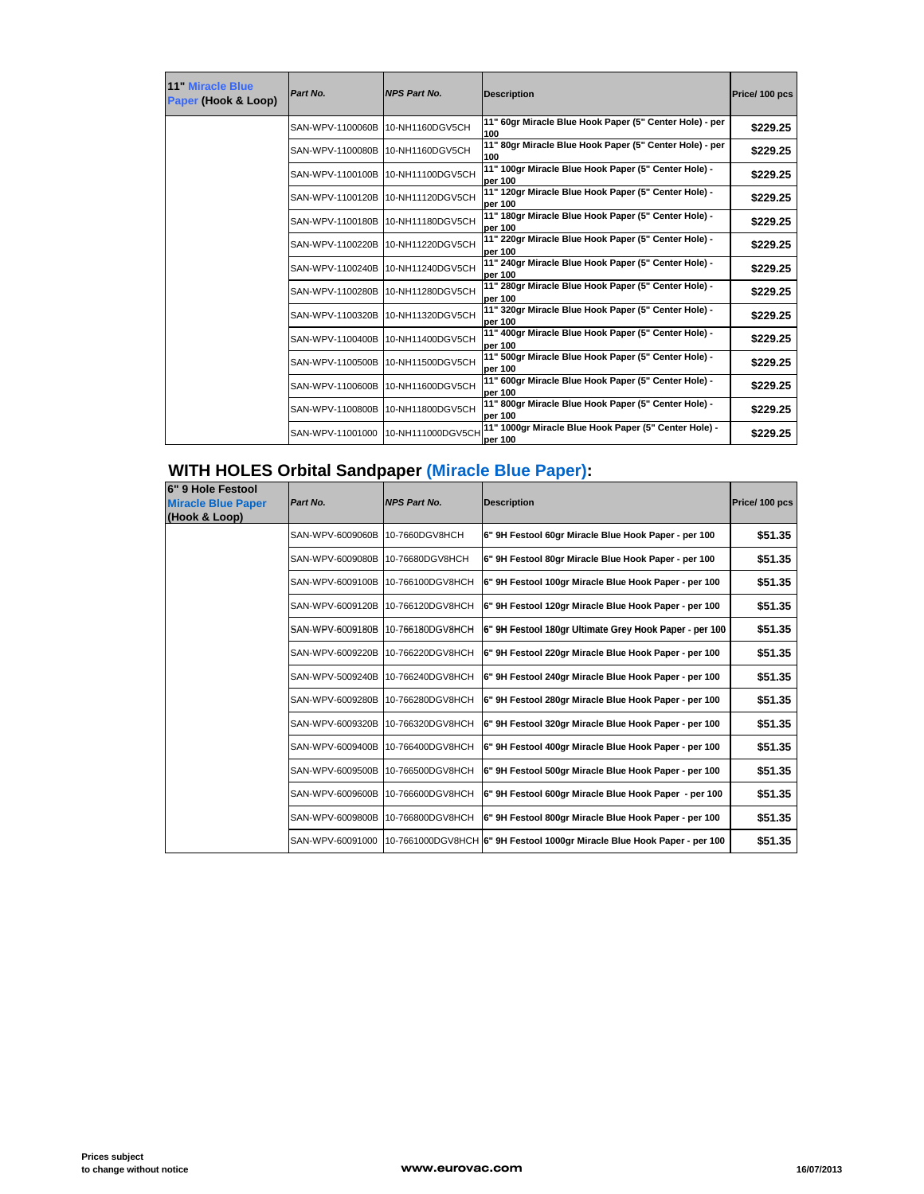| 11 Miracle Blue<br>Paper (Hook & Loop) | Part No.         | <b>NPS Part No.</b>               | <b>Description</b>                                               | Price/100 pcs |
|----------------------------------------|------------------|-----------------------------------|------------------------------------------------------------------|---------------|
|                                        | SAN-WPV-1100060B | 10-NH1160DGV5CH                   | 11" 60gr Miracle Blue Hook Paper (5" Center Hole) - per<br>100   | \$229.25      |
|                                        | SAN-WPV-1100080B | 10-NH1160DGV5CH                   | 11" 80gr Miracle Blue Hook Paper (5" Center Hole) - per<br>100   | \$229.25      |
|                                        | SAN-WPV-1100100B | 10-NH11100DGV5CH                  | 11" 100gr Miracle Blue Hook Paper (5" Center Hole) -<br>per 100  | \$229.25      |
|                                        | SAN-WPV-1100120B | 10-NH11120DGV5CH                  | 11" 120gr Miracle Blue Hook Paper (5" Center Hole) -<br>per 100  | \$229.25      |
|                                        | SAN-WPV-1100180B | 10-NH11180DGV5CH                  | 11" 180gr Miracle Blue Hook Paper (5" Center Hole) -<br>per 100  | \$229.25      |
|                                        | SAN-WPV-1100220B | 10-NH11220DGV5CH                  | 11" 220gr Miracle Blue Hook Paper (5" Center Hole) -<br>per 100  | \$229.25      |
|                                        | SAN-WPV-1100240B | 10-NH11240DGV5CH                  | 11" 240gr Miracle Blue Hook Paper (5" Center Hole) -<br>per 100  | \$229.25      |
|                                        | SAN-WPV-1100280B | 10-NH11280DGV5CH                  | 11" 280gr Miracle Blue Hook Paper (5" Center Hole) -<br>per 100  | \$229.25      |
|                                        | SAN-WPV-1100320B | 10-NH11320DGV5CH                  | 11" 320gr Miracle Blue Hook Paper (5" Center Hole) -<br>per 100  | \$229.25      |
|                                        | SAN-WPV-1100400B | 10-NH11400DGV5CH                  | 11" 400gr Miracle Blue Hook Paper (5" Center Hole) -<br>per 100  | \$229.25      |
|                                        | SAN-WPV-1100500B | 10-NH11500DGV5CH                  | 11" 500gr Miracle Blue Hook Paper (5" Center Hole) -<br>per 100  | \$229.25      |
|                                        |                  | SAN-WPV-1100600B 10-NH11600DGV5CH | 11" 600gr Miracle Blue Hook Paper (5" Center Hole) -<br>per 100  | \$229.25      |
|                                        | SAN-WPV-1100800B | 10-NH11800DGV5CH                  | 11" 800gr Miracle Blue Hook Paper (5" Center Hole) -<br>per 100  | \$229.25      |
|                                        | SAN-WPV-11001000 | 10-NH111000DGV5CH                 | 11" 1000gr Miracle Blue Hook Paper (5" Center Hole) -<br>per 100 | \$229.25      |

## **WITH HOLES Orbital Sandpaper (Miracle Blue Paper):**

| 6" 9 Hole Festool<br><b>Miracle Blue Paper</b><br>(Hook & Loop) | Part No.         | <b>NPS Part No.</b> | <b>Description</b>                                                       | Price/100 pcs |
|-----------------------------------------------------------------|------------------|---------------------|--------------------------------------------------------------------------|---------------|
|                                                                 | SAN-WPV-6009060B | 10-7660DGV8HCH      | 6" 9H Festool 60gr Miracle Blue Hook Paper - per 100                     | \$51.35       |
|                                                                 | SAN-WPV-6009080B | 10-76680DGV8HCH     | 6" 9H Festool 80gr Miracle Blue Hook Paper - per 100                     | \$51.35       |
|                                                                 | SAN-WPV-6009100B | 10-766100DGV8HCH    | 6" 9H Festool 100gr Miracle Blue Hook Paper - per 100                    | \$51.35       |
|                                                                 | SAN-WPV-6009120B | 10-766120DGV8HCH    | 6" 9H Festool 120gr Miracle Blue Hook Paper - per 100                    | \$51.35       |
|                                                                 | SAN-WPV-6009180B | 10-766180DGV8HCH    | 6" 9H Festool 180gr Ultimate Grey Hook Paper - per 100                   | \$51.35       |
|                                                                 | SAN-WPV-6009220B | 10-766220DGV8HCH    | 6" 9H Festool 220gr Miracle Blue Hook Paper - per 100                    | \$51.35       |
|                                                                 | SAN-WPV-5009240B | 10-766240DGV8HCH    | 6" 9H Festool 240gr Miracle Blue Hook Paper - per 100                    | \$51.35       |
|                                                                 | SAN-WPV-6009280B | 10-766280DGV8HCH    | 6" 9H Festool 280gr Miracle Blue Hook Paper - per 100                    | \$51.35       |
|                                                                 | SAN-WPV-6009320B | 10-766320DGV8HCH    | 6" 9H Festool 320gr Miracle Blue Hook Paper - per 100                    | \$51.35       |
|                                                                 | SAN-WPV-6009400B | 10-766400DGV8HCH    | 6" 9H Festool 400gr Miracle Blue Hook Paper - per 100                    | \$51.35       |
|                                                                 | SAN-WPV-6009500B | 10-766500DGV8HCH    | 6" 9H Festool 500gr Miracle Blue Hook Paper - per 100                    | \$51.35       |
|                                                                 | SAN-WPV-6009600B | 10-766600DGV8HCH    | 6" 9H Festool 600gr Miracle Blue Hook Paper - per 100                    | \$51.35       |
|                                                                 | SAN-WPV-6009800B | 10-766800DGV8HCH    | 6" 9H Festool 800gr Miracle Blue Hook Paper - per 100                    | \$51.35       |
|                                                                 | SAN-WPV-60091000 |                     | 10-7661000DGV8HCH 6" 9H Festool 1000gr Miracle Blue Hook Paper - per 100 | \$51.35       |